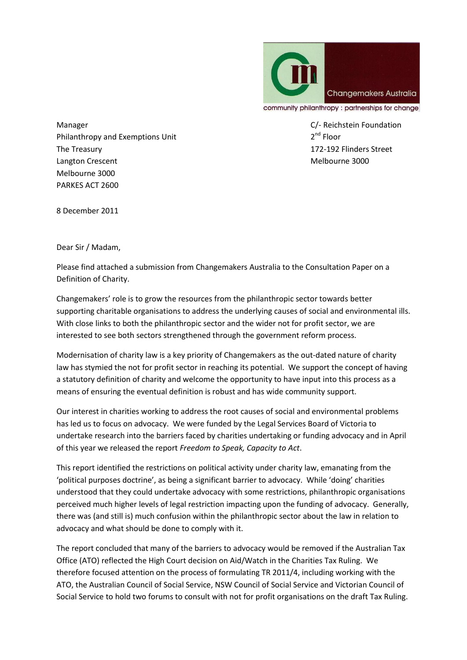

Manager C/- Reichstein Foundation Philanthropy and Exemptions Unit 2 The Treasury **172-192 Flinders Street** Langton Crescent **Melbourne 3000** Melbourne 3000 PARKES ACT 2600

 $2^{nd}$  Floor

8 December 2011

Dear Sir / Madam,

Please find attached a submission from Changemakers Australia to the Consultation Paper on a Definition of Charity.

Changemakers' role is to grow the resources from the philanthropic sector towards better supporting charitable organisations to address the underlying causes of social and environmental ills. With close links to both the philanthropic sector and the wider not for profit sector, we are interested to see both sectors strengthened through the government reform process.

Modernisation of charity law is a key priority of Changemakers as the out-dated nature of charity law has stymied the not for profit sector in reaching its potential. We support the concept of having a statutory definition of charity and welcome the opportunity to have input into this process as a means of ensuring the eventual definition is robust and has wide community support.

Our interest in charities working to address the root causes of social and environmental problems has led us to focus on advocacy. We were funded by the Legal Services Board of Victoria to undertake research into the barriers faced by charities undertaking or funding advocacy and in April of this year we released the report *Freedom to Speak, Capacity to Act*.

This report identified the restrictions on political activity under charity law, emanating from the 'political purposes doctrine', as being a significant barrier to advocacy. While 'doing' charities understood that they could undertake advocacy with some restrictions, philanthropic organisations perceived much higher levels of legal restriction impacting upon the funding of advocacy. Generally, there was (and still is) much confusion within the philanthropic sector about the law in relation to advocacy and what should be done to comply with it.

The report concluded that many of the barriers to advocacy would be removed if the Australian Tax Office (ATO) reflected the High Court decision on Aid/Watch in the Charities Tax Ruling. We therefore focused attention on the process of formulating TR 2011/4, including working with the ATO, the Australian Council of Social Service, NSW Council of Social Service and Victorian Council of Social Service to hold two forums to consult with not for profit organisations on the draft Tax Ruling.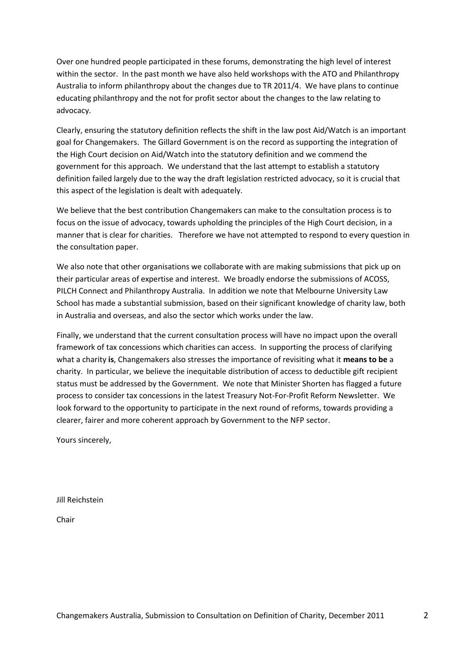Over one hundred people participated in these forums, demonstrating the high level of interest within the sector. In the past month we have also held workshops with the ATO and Philanthropy Australia to inform philanthropy about the changes due to TR 2011/4. We have plans to continue educating philanthropy and the not for profit sector about the changes to the law relating to advocacy.

Clearly, ensuring the statutory definition reflects the shift in the law post Aid/Watch is an important goal for Changemakers. The Gillard Government is on the record as supporting the integration of the High Court decision on Aid/Watch into the statutory definition and we commend the government for this approach. We understand that the last attempt to establish a statutory definition failed largely due to the way the draft legislation restricted advocacy, so it is crucial that this aspect of the legislation is dealt with adequately.

We believe that the best contribution Changemakers can make to the consultation process is to focus on the issue of advocacy, towards upholding the principles of the High Court decision, in a manner that is clear for charities. Therefore we have not attempted to respond to every question in the consultation paper.

We also note that other organisations we collaborate with are making submissions that pick up on their particular areas of expertise and interest. We broadly endorse the submissions of ACOSS, PILCH Connect and Philanthropy Australia. In addition we note that Melbourne University Law School has made a substantial submission, based on their significant knowledge of charity law, both in Australia and overseas, and also the sector which works under the law.

Finally, we understand that the current consultation process will have no impact upon the overall framework of tax concessions which charities can access. In supporting the process of clarifying what a charity **is**, Changemakers also stresses the importance of revisiting what it **means to be** a charity. In particular, we believe the inequitable distribution of access to deductible gift recipient status must be addressed by the Government. We note that Minister Shorten has flagged a future process to consider tax concessions in the latest Treasury Not-For-Profit Reform Newsletter. We look forward to the opportunity to participate in the next round of reforms, towards providing a clearer, fairer and more coherent approach by Government to the NFP sector.

Yours sincerely,

Jill Reichstein

Chair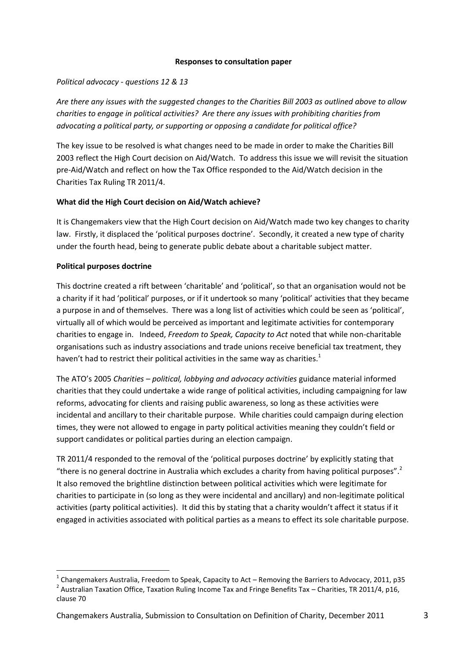#### **Responses to consultation paper**

### *Political advocacy - questions 12 & 13*

*Are there any issues with the suggested changes to the Charities Bill 2003 as outlined above to allow charities to engage in political activities? Are there any issues with prohibiting charities from advocating a political party, or supporting or opposing a candidate for political office?*

The key issue to be resolved is what changes need to be made in order to make the Charities Bill 2003 reflect the High Court decision on Aid/Watch. To address this issue we will revisit the situation pre-Aid/Watch and reflect on how the Tax Office responded to the Aid/Watch decision in the Charities Tax Ruling TR 2011/4.

## **What did the High Court decision on Aid/Watch achieve?**

It is Changemakers view that the High Court decision on Aid/Watch made two key changes to charity law. Firstly, it displaced the 'political purposes doctrine'. Secondly, it created a new type of charity under the fourth head, being to generate public debate about a charitable subject matter.

## **Political purposes doctrine**

1

This doctrine created a rift between 'charitable' and 'political', so that an organisation would not be a charity if it had 'political' purposes, or if it undertook so many 'political' activities that they became a purpose in and of themselves. There was a long list of activities which could be seen as 'political', virtually all of which would be perceived as important and legitimate activities for contemporary charities to engage in. Indeed, *Freedom to Speak, Capacity to Act* noted that while non-charitable organisations such as industry associations and trade unions receive beneficial tax treatment, they haven't had to restrict their political activities in the same way as charities.<sup>1</sup>

The ATO's 2005 *Charities – political, lobbying and advocacy activities* guidance material informed charities that they could undertake a wide range of political activities, including campaigning for law reforms, advocating for clients and raising public awareness, so long as these activities were incidental and ancillary to their charitable purpose. While charities could campaign during election times, they were not allowed to engage in party political activities meaning they couldn't field or support candidates or political parties during an election campaign.

TR 2011/4 responded to the removal of the 'political purposes doctrine' by explicitly stating that "there is no general doctrine in Australia which excludes a charity from having political purposes".<sup>2</sup> It also removed the brightline distinction between political activities which were legitimate for charities to participate in (so long as they were incidental and ancillary) and non-legitimate political activities (party political activities). It did this by stating that a charity wouldn't affect it status if it engaged in activities associated with political parties as a means to effect its sole charitable purpose.

<sup>1</sup> Changemakers Australia, Freedom to Speak, Capacity to Act – Removing the Barriers to Advocacy, 2011, p35

<sup>&</sup>lt;sup>2</sup> Australian Taxation Office, Taxation Ruling Income Tax and Fringe Benefits Tax – Charities, TR 2011/4, p16, clause 70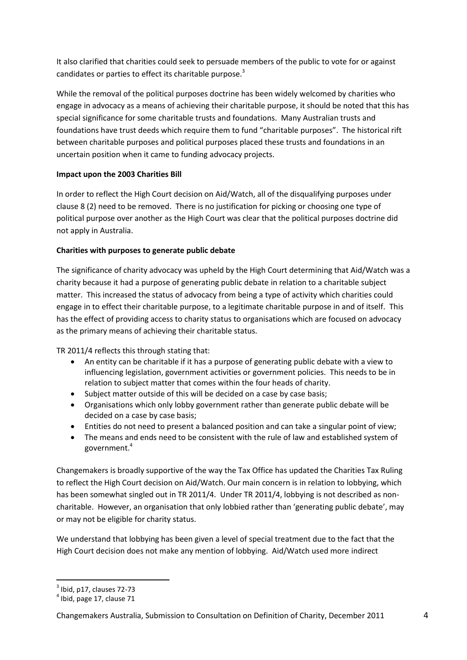It also clarified that charities could seek to persuade members of the public to vote for or against candidates or parties to effect its charitable purpose.<sup>3</sup>

While the removal of the political purposes doctrine has been widely welcomed by charities who engage in advocacy as a means of achieving their charitable purpose, it should be noted that this has special significance for some charitable trusts and foundations. Many Australian trusts and foundations have trust deeds which require them to fund "charitable purposes". The historical rift between charitable purposes and political purposes placed these trusts and foundations in an uncertain position when it came to funding advocacy projects.

# **Impact upon the 2003 Charities Bill**

In order to reflect the High Court decision on Aid/Watch, all of the disqualifying purposes under clause 8 (2) need to be removed. There is no justification for picking or choosing one type of political purpose over another as the High Court was clear that the political purposes doctrine did not apply in Australia.

# **Charities with purposes to generate public debate**

The significance of charity advocacy was upheld by the High Court determining that Aid/Watch was a charity because it had a purpose of generating public debate in relation to a charitable subject matter. This increased the status of advocacy from being a type of activity which charities could engage in to effect their charitable purpose, to a legitimate charitable purpose in and of itself. This has the effect of providing access to charity status to organisations which are focused on advocacy as the primary means of achieving their charitable status.

TR 2011/4 reflects this through stating that:

- An entity can be charitable if it has a purpose of generating public debate with a view to influencing legislation, government activities or government policies. This needs to be in relation to subject matter that comes within the four heads of charity.
- Subject matter outside of this will be decided on a case by case basis;
- Organisations which only lobby government rather than generate public debate will be decided on a case by case basis;
- Entities do not need to present a balanced position and can take a singular point of view;
- The means and ends need to be consistent with the rule of law and established system of government.<sup>4</sup>

Changemakers is broadly supportive of the way the Tax Office has updated the Charities Tax Ruling to reflect the High Court decision on Aid/Watch. Our main concern is in relation to lobbying, which has been somewhat singled out in TR 2011/4. Under TR 2011/4, lobbying is not described as noncharitable. However, an organisation that only lobbied rather than 'generating public debate', may or may not be eligible for charity status.

We understand that lobbying has been given a level of special treatment due to the fact that the High Court decision does not make any mention of lobbying. Aid/Watch used more indirect

<u>.</u>

 $3$  Ibid, p17, clauses 72-73

 $<sup>4</sup>$  Ibid, page 17, clause 71</sup>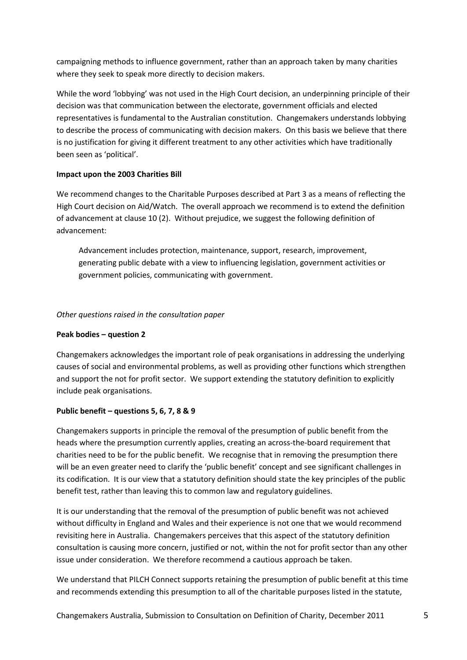campaigning methods to influence government, rather than an approach taken by many charities where they seek to speak more directly to decision makers.

While the word 'lobbying' was not used in the High Court decision, an underpinning principle of their decision was that communication between the electorate, government officials and elected representatives is fundamental to the Australian constitution. Changemakers understands lobbying to describe the process of communicating with decision makers. On this basis we believe that there is no justification for giving it different treatment to any other activities which have traditionally been seen as 'political'.

## **Impact upon the 2003 Charities Bill**

We recommend changes to the Charitable Purposes described at Part 3 as a means of reflecting the High Court decision on Aid/Watch. The overall approach we recommend is to extend the definition of advancement at clause 10 (2). Without prejudice, we suggest the following definition of advancement:

Advancement includes protection, maintenance, support, research, improvement, generating public debate with a view to influencing legislation, government activities or government policies, communicating with government.

### *Other questions raised in the consultation paper*

### **Peak bodies – question 2**

Changemakers acknowledges the important role of peak organisations in addressing the underlying causes of social and environmental problems, as well as providing other functions which strengthen and support the not for profit sector. We support extending the statutory definition to explicitly include peak organisations.

# **Public benefit – questions 5, 6, 7, 8 & 9**

Changemakers supports in principle the removal of the presumption of public benefit from the heads where the presumption currently applies, creating an across-the-board requirement that charities need to be for the public benefit. We recognise that in removing the presumption there will be an even greater need to clarify the 'public benefit' concept and see significant challenges in its codification. It is our view that a statutory definition should state the key principles of the public benefit test, rather than leaving this to common law and regulatory guidelines.

It is our understanding that the removal of the presumption of public benefit was not achieved without difficulty in England and Wales and their experience is not one that we would recommend revisiting here in Australia. Changemakers perceives that this aspect of the statutory definition consultation is causing more concern, justified or not, within the not for profit sector than any other issue under consideration. We therefore recommend a cautious approach be taken.

We understand that PILCH Connect supports retaining the presumption of public benefit at this time and recommends extending this presumption to all of the charitable purposes listed in the statute,